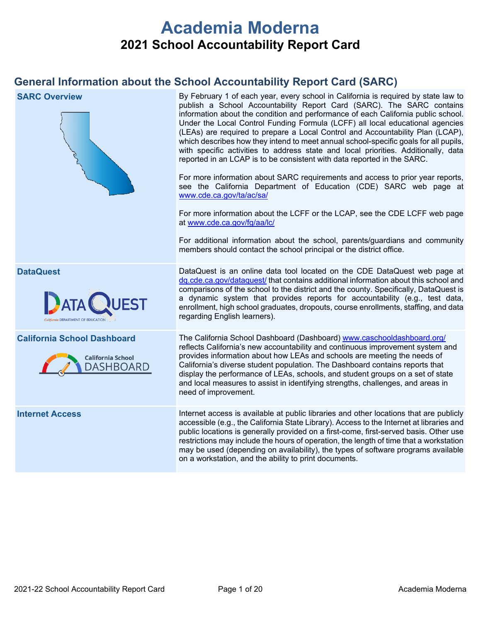# **Academia Moderna 2021 School Accountability Report Card**

# **General Information about the School Accountability Report Card (SARC)**

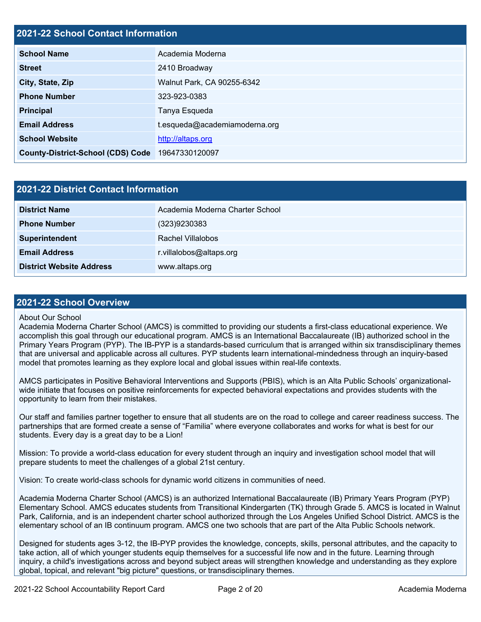### **2021-22 School Contact Information**

| <b>School Name</b>                       | Academia Moderna              |
|------------------------------------------|-------------------------------|
| <b>Street</b>                            | 2410 Broadway                 |
| City, State, Zip                         | Walnut Park, CA 90255-6342    |
| <b>Phone Number</b>                      | 323-923-0383                  |
| <b>Principal</b>                         | Tanya Esqueda                 |
| <b>Email Address</b>                     | t.esqueda@academiamoderna.org |
| <b>School Website</b>                    | http://altaps.org             |
| <b>County-District-School (CDS) Code</b> | 19647330120097                |

| 2021-22 District Contact Information |                                 |  |  |  |
|--------------------------------------|---------------------------------|--|--|--|
| <b>District Name</b>                 | Academia Moderna Charter School |  |  |  |
| <b>Phone Number</b>                  | (323)9230383                    |  |  |  |
| Superintendent                       | Rachel Villalobos               |  |  |  |
| <b>Email Address</b>                 | r.villalobos@altaps.org         |  |  |  |
| <b>District Website Address</b>      | www.altaps.org                  |  |  |  |

### **2021-22 School Overview**

### About Our School

Academia Moderna Charter School (AMCS) is committed to providing our students a first-class educational experience. We accomplish this goal through our educational program. AMCS is an International Baccalaureate (IB) authorized school in the Primary Years Program (PYP). The IB-PYP is a standards-based curriculum that is arranged within six transdisciplinary themes that are universal and applicable across all cultures. PYP students learn international-mindedness through an inquiry-based model that promotes learning as they explore local and global issues within real-life contexts.

AMCS participates in Positive Behavioral Interventions and Supports (PBIS), which is an Alta Public Schools' organizationalwide initiate that focuses on positive reinforcements for expected behavioral expectations and provides students with the opportunity to learn from their mistakes.

Our staff and families partner together to ensure that all students are on the road to college and career readiness success. The partnerships that are formed create a sense of "Familia" where everyone collaborates and works for what is best for our students. Every day is a great day to be a Lion!

Mission: To provide a world-class education for every student through an inquiry and investigation school model that will prepare students to meet the challenges of a global 21st century.

Vision: To create world-class schools for dynamic world citizens in communities of need.

Academia Moderna Charter School (AMCS) is an authorized International Baccalaureate (IB) Primary Years Program (PYP) Elementary School. AMCS educates students from Transitional Kindergarten (TK) through Grade 5. AMCS is located in Walnut Park, California, and is an independent charter school authorized through the Los Angeles Unified School District. AMCS is the elementary school of an IB continuum program. AMCS one two schools that are part of the Alta Public Schools network.

Designed for students ages 3-12, the IB-PYP provides the knowledge, concepts, skills, personal attributes, and the capacity to take action, all of which younger students equip themselves for a successful life now and in the future. Learning through inquiry, a child's investigations across and beyond subject areas will strengthen knowledge and understanding as they explore global, topical, and relevant "big picture" questions, or transdisciplinary themes.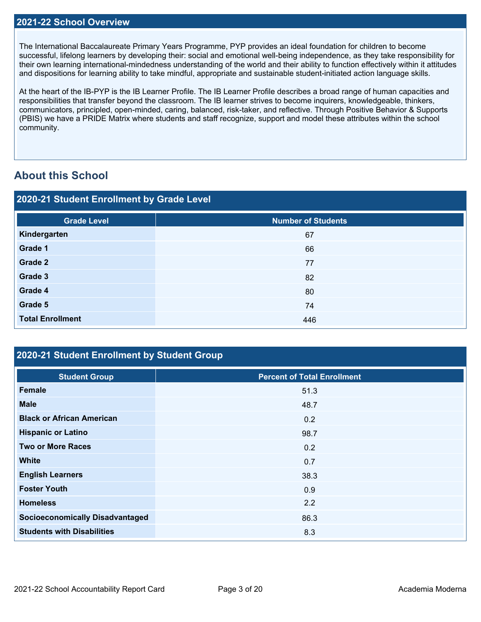The International Baccalaureate Primary Years Programme, PYP provides an ideal foundation for children to become successful, lifelong learners by developing their: social and emotional well-being independence, as they take responsibility for their own learning international-mindedness understanding of the world and their ability to function effectively within it attitudes and dispositions for learning ability to take mindful, appropriate and sustainable student-initiated action language skills.

At the heart of the IB-PYP is the IB Learner Profile. The IB Learner Profile describes a broad range of human capacities and responsibilities that transfer beyond the classroom. The IB learner strives to become inquirers, knowledgeable, thinkers, communicators, principled, open-minded, caring, balanced, risk-taker, and reflective. Through Positive Behavior & Supports (PBIS) we have a PRIDE Matrix where students and staff recognize, support and model these attributes within the school community.

# **About this School**

| 2020-21 Student Enrollment by Grade Level |                           |  |  |  |
|-------------------------------------------|---------------------------|--|--|--|
| <b>Grade Level</b>                        | <b>Number of Students</b> |  |  |  |
| Kindergarten                              | 67                        |  |  |  |
| Grade 1                                   | 66                        |  |  |  |
| Grade 2                                   | 77                        |  |  |  |
| Grade 3                                   | 82                        |  |  |  |
| Grade 4                                   | 80                        |  |  |  |
| Grade 5                                   | 74                        |  |  |  |
| <b>Total Enrollment</b>                   | 446                       |  |  |  |

## **2020-21 Student Enrollment by Student Group**

| <b>Student Group</b>                   | <b>Percent of Total Enrollment</b> |
|----------------------------------------|------------------------------------|
| <b>Female</b>                          | 51.3                               |
| <b>Male</b>                            | 48.7                               |
| <b>Black or African American</b>       | 0.2                                |
| <b>Hispanic or Latino</b>              | 98.7                               |
| <b>Two or More Races</b>               | 0.2                                |
| <b>White</b>                           | 0.7                                |
| <b>English Learners</b>                | 38.3                               |
| <b>Foster Youth</b>                    | 0.9                                |
| <b>Homeless</b>                        | 2.2                                |
| <b>Socioeconomically Disadvantaged</b> | 86.3                               |
| <b>Students with Disabilities</b>      | 8.3                                |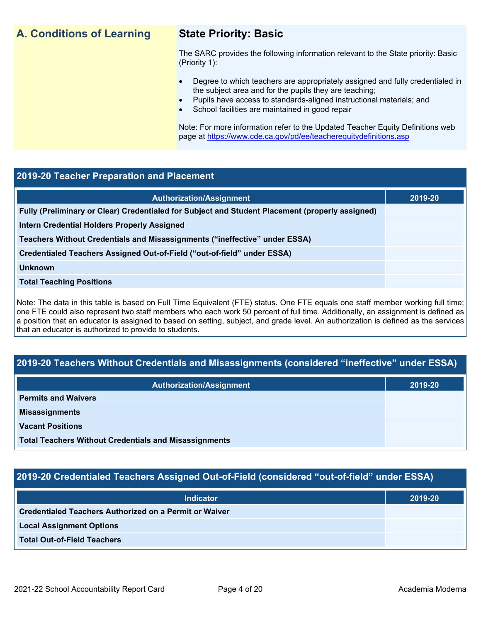## **A. Conditions of Learning State Priority: Basic**

The SARC provides the following information relevant to the State priority: Basic (Priority 1):

- Degree to which teachers are appropriately assigned and fully credentialed in the subject area and for the pupils they are teaching;
	- Pupils have access to standards-aligned instructional materials; and
- School facilities are maintained in good repair

Note: For more information refer to the Updated Teacher Equity Definitions web page at<https://www.cde.ca.gov/pd/ee/teacherequitydefinitions.asp>

### **2019-20 Teacher Preparation and Placement**

| <b>Authorization/Assignment</b>                                                                 | 2019-20 |
|-------------------------------------------------------------------------------------------------|---------|
| Fully (Preliminary or Clear) Credentialed for Subject and Student Placement (properly assigned) |         |
| <b>Intern Credential Holders Properly Assigned</b>                                              |         |
| Teachers Without Credentials and Misassignments ("ineffective" under ESSA)                      |         |
| Credentialed Teachers Assigned Out-of-Field ("out-of-field" under ESSA)                         |         |
| <b>Unknown</b>                                                                                  |         |
| <b>Total Teaching Positions</b>                                                                 |         |
|                                                                                                 |         |

Note: The data in this table is based on Full Time Equivalent (FTE) status. One FTE equals one staff member working full time; one FTE could also represent two staff members who each work 50 percent of full time. Additionally, an assignment is defined as a position that an educator is assigned to based on setting, subject, and grade level. An authorization is defined as the services that an educator is authorized to provide to students.

## **2019-20 Teachers Without Credentials and Misassignments (considered "ineffective" under ESSA)**

| <b>Authorization/Assignment</b>                              | 2019-20 |
|--------------------------------------------------------------|---------|
| <b>Permits and Waivers</b>                                   |         |
| <b>Misassignments</b>                                        |         |
| <b>Vacant Positions</b>                                      |         |
| <b>Total Teachers Without Credentials and Misassignments</b> |         |

### **2019-20 Credentialed Teachers Assigned Out-of-Field (considered "out-of-field" under ESSA)**

| <b>Indicator</b>                                              | 2019-20 |
|---------------------------------------------------------------|---------|
| <b>Credentialed Teachers Authorized on a Permit or Waiver</b> |         |
| <b>Local Assignment Options</b>                               |         |
| <b>Total Out-of-Field Teachers</b>                            |         |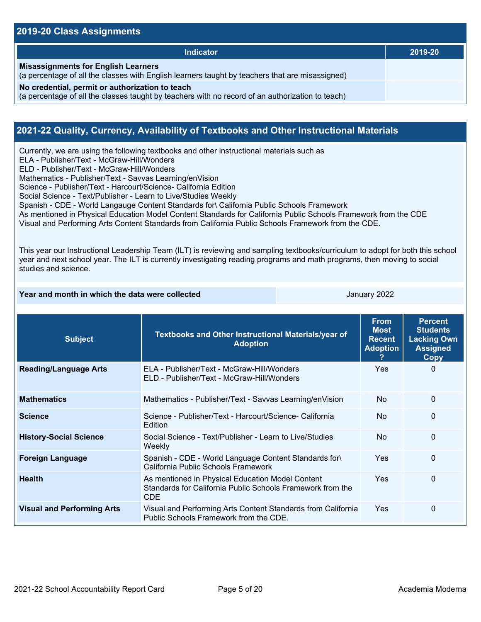### **2019-20 Class Assignments**

| <b>Indicator</b>                                                                                                                                    | 2019-20 |
|-----------------------------------------------------------------------------------------------------------------------------------------------------|---------|
| <b>Misassignments for English Learners</b><br>(a percentage of all the classes with English learners taught by teachers that are misassigned)       |         |
| No credential, permit or authorization to teach<br>(a percentage of all the classes taught by teachers with no record of an authorization to teach) |         |

### **2021-22 Quality, Currency, Availability of Textbooks and Other Instructional Materials**

Currently, we are using the following textbooks and other instructional materials such as

ELA - Publisher/Text - McGraw-Hill/Wonders

ELD - Publisher/Text - McGraw-Hill/Wonders

Mathematics - Publisher/Text - Savvas Learning/enVision

Science - Publisher/Text - Harcourt/Science- California Edition

Social Science - Text/Publisher - Learn to Live/Studies Weekly

Spanish - CDE - World Langauge Content Standards for\ California Public Schools Framework

As mentioned in Physical Education Model Content Standards for California Public Schools Framework from the CDE

Visual and Performing Arts Content Standards from California Public Schools Framework from the CDE.

This year our Instructional Leadership Team (ILT) is reviewing and sampling textbooks/curriculum to adopt for both this school year and next school year. The ILT is currently investigating reading programs and math programs, then moving to social studies and science.

| Year and month in which the data were collected |                                                                                                                       | January 2022                                                   |                                                                                    |          |
|-------------------------------------------------|-----------------------------------------------------------------------------------------------------------------------|----------------------------------------------------------------|------------------------------------------------------------------------------------|----------|
| <b>Subject</b>                                  | Textbooks and Other Instructional Materials/year of<br><b>Adoption</b>                                                | <b>From</b><br><b>Most</b><br><b>Recent</b><br><b>Adoption</b> | <b>Percent</b><br><b>Students</b><br><b>Lacking Own</b><br><b>Assigned</b><br>Copy |          |
| <b>Reading/Language Arts</b>                    | ELA - Publisher/Text - McGraw-Hill/Wonders<br>ELD - Publisher/Text - McGraw-Hill/Wonders                              |                                                                | Yes                                                                                | $\Omega$ |
| <b>Mathematics</b>                              | Mathematics - Publisher/Text - Savvas Learning/enVision                                                               | <b>No</b>                                                      | 0                                                                                  |          |
| <b>Science</b>                                  | Science - Publisher/Text - Harcourt/Science- California<br>Edition                                                    |                                                                | <b>No</b>                                                                          | $\Omega$ |
| <b>History-Social Science</b>                   | Social Science - Text/Publisher - Learn to Live/Studies<br>Weekly                                                     | <b>No</b>                                                      | $\Omega$                                                                           |          |
| <b>Foreign Language</b>                         | Spanish - CDE - World Language Content Standards for\<br>California Public Schools Framework                          |                                                                | Yes                                                                                | $\Omega$ |
| <b>Health</b>                                   | As mentioned in Physical Education Model Content<br>Standards for California Public Schools Framework from the<br>CDE |                                                                | <b>Yes</b>                                                                         | $\Omega$ |
| <b>Visual and Performing Arts</b>               | Visual and Performing Arts Content Standards from California<br>Public Schools Framework from the CDE.                | Yes                                                            | 0                                                                                  |          |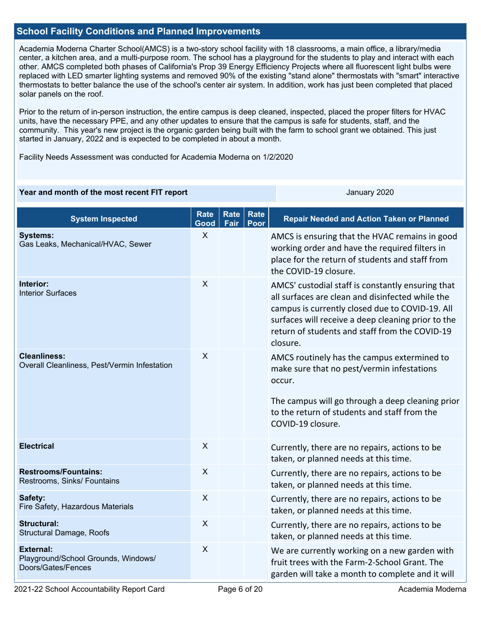### **School Facility Conditions and Planned Improvements**

Academia Moderna Charter School(AMCS) is a two-story school facility with 18 classrooms, a main office, a library/media center, a kitchen area, and a multi-purpose room. The school has a playground for the students to play and interact with each other. AMCS completed both phases of California's Prop 39 Energy Efficiency Projects where all fluorescent light bulbs were replaced with LED smarter lighting systems and removed 90% of the existing "stand alone" thermostats with "smart" interactive thermostats to better balance the use of the school's center air system. In addition, work has just been completed that placed solar panels on the roof.

Prior to the return of in-person instruction, the entire campus is deep cleaned, inspected, placed the proper filters for HVAC units, have the necessary PPE, and any other updates to ensure that the campus is safe for students, staff, and the community. This year's new project is the organic garden being built with the farm to school grant we obtained. This just started in January, 2022 and is expected to be completed in about a month.

Facility Needs Assessment was conducted for Academia Moderna on 1/2/2020

### **Year and month of the most recent FIT report** And Allen January 2020 January 2020

| <b>System Inspected</b>                                                       | <b>Rate</b><br>Good | <b>Rate</b><br>Fair | Rate<br>Poor | <b>Repair Needed and Action Taken or Planned</b>                                                                                                                                                                                                                             |
|-------------------------------------------------------------------------------|---------------------|---------------------|--------------|------------------------------------------------------------------------------------------------------------------------------------------------------------------------------------------------------------------------------------------------------------------------------|
| <b>Systems:</b><br>Gas Leaks, Mechanical/HVAC, Sewer                          | X                   |                     |              | AMCS is ensuring that the HVAC remains in good<br>working order and have the required filters in<br>place for the return of students and staff from<br>the COVID-19 closure.                                                                                                 |
| Interior:<br><b>Interior Surfaces</b>                                         | $\sf X$             |                     |              | AMCS' custodial staff is constantly ensuring that<br>all surfaces are clean and disinfected while the<br>campus is currently closed due to COVID-19. All<br>surfaces will receive a deep cleaning prior to the<br>return of students and staff from the COVID-19<br>closure. |
| <b>Cleanliness:</b><br>Overall Cleanliness, Pest/Vermin Infestation           | X                   |                     |              | AMCS routinely has the campus extermined to<br>make sure that no pest/vermin infestations<br>occur.<br>The campus will go through a deep cleaning prior<br>to the return of students and staff from the<br>COVID-19 closure.                                                 |
| <b>Electrical</b>                                                             | X                   |                     |              | Currently, there are no repairs, actions to be<br>taken, or planned needs at this time.                                                                                                                                                                                      |
| <b>Restrooms/Fountains:</b><br>Restrooms, Sinks/ Fountains                    | $\times$            |                     |              | Currently, there are no repairs, actions to be<br>taken, or planned needs at this time.                                                                                                                                                                                      |
| Safety:<br>Fire Safety, Hazardous Materials                                   | $\sf X$             |                     |              | Currently, there are no repairs, actions to be<br>taken, or planned needs at this time.                                                                                                                                                                                      |
| <b>Structural:</b><br>Structural Damage, Roofs                                | $\times$            |                     |              | Currently, there are no repairs, actions to be<br>taken, or planned needs at this time.                                                                                                                                                                                      |
| <b>External:</b><br>Playground/School Grounds, Windows/<br>Doors/Gates/Fences | $\sf X$             |                     |              | We are currently working on a new garden with<br>fruit trees with the Farm-2-School Grant. The<br>garden will take a month to complete and it will                                                                                                                           |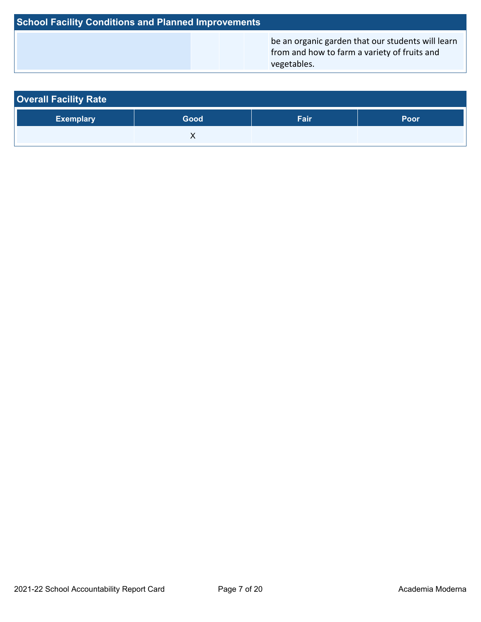| <b>School Facility Conditions and Planned Improvements</b> |  |                                                                                                                  |  |  |  |
|------------------------------------------------------------|--|------------------------------------------------------------------------------------------------------------------|--|--|--|
|                                                            |  | be an organic garden that our students will learn<br>from and how to farm a variety of fruits and<br>vegetables. |  |  |  |

| <b>Overall Facility Rate</b> |      |      |      |  |  |
|------------------------------|------|------|------|--|--|
| <b>Exemplary</b>             | Good | Fair | Poor |  |  |
|                              |      |      |      |  |  |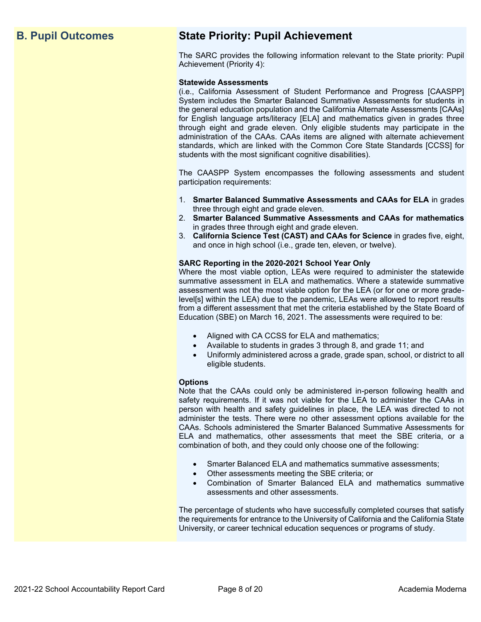# **B. Pupil Outcomes State Priority: Pupil Achievement**

The SARC provides the following information relevant to the State priority: Pupil Achievement (Priority 4):

### **Statewide Assessments**

(i.e., California Assessment of Student Performance and Progress [CAASPP] System includes the Smarter Balanced Summative Assessments for students in the general education population and the California Alternate Assessments [CAAs] for English language arts/literacy [ELA] and mathematics given in grades three through eight and grade eleven. Only eligible students may participate in the administration of the CAAs. CAAs items are aligned with alternate achievement standards, which are linked with the Common Core State Standards [CCSS] for students with the most significant cognitive disabilities).

The CAASPP System encompasses the following assessments and student participation requirements:

- 1. **Smarter Balanced Summative Assessments and CAAs for ELA** in grades three through eight and grade eleven.
- 2. **Smarter Balanced Summative Assessments and CAAs for mathematics** in grades three through eight and grade eleven.
- 3. **California Science Test (CAST) and CAAs for Science** in grades five, eight, and once in high school (i.e., grade ten, eleven, or twelve).

### **SARC Reporting in the 2020-2021 School Year Only**

Where the most viable option, LEAs were required to administer the statewide summative assessment in ELA and mathematics. Where a statewide summative assessment was not the most viable option for the LEA (or for one or more gradelevel[s] within the LEA) due to the pandemic, LEAs were allowed to report results from a different assessment that met the criteria established by the State Board of Education (SBE) on March 16, 2021. The assessments were required to be:

- Aligned with CA CCSS for ELA and mathematics;
- Available to students in grades 3 through 8, and grade 11; and
- Uniformly administered across a grade, grade span, school, or district to all eligible students.

### **Options**

Note that the CAAs could only be administered in-person following health and safety requirements. If it was not viable for the LEA to administer the CAAs in person with health and safety guidelines in place, the LEA was directed to not administer the tests. There were no other assessment options available for the CAAs. Schools administered the Smarter Balanced Summative Assessments for ELA and mathematics, other assessments that meet the SBE criteria, or a combination of both, and they could only choose one of the following:

- Smarter Balanced ELA and mathematics summative assessments;
- Other assessments meeting the SBE criteria; or
- Combination of Smarter Balanced ELA and mathematics summative assessments and other assessments.

The percentage of students who have successfully completed courses that satisfy the requirements for entrance to the University of California and the California State University, or career technical education sequences or programs of study.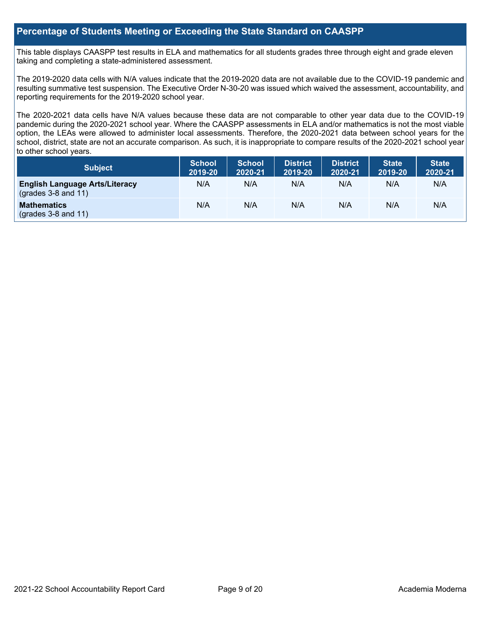### **Percentage of Students Meeting or Exceeding the State Standard on CAASPP**

This table displays CAASPP test results in ELA and mathematics for all students grades three through eight and grade eleven taking and completing a state-administered assessment.

The 2019-2020 data cells with N/A values indicate that the 2019-2020 data are not available due to the COVID-19 pandemic and resulting summative test suspension. The Executive Order N-30-20 was issued which waived the assessment, accountability, and reporting requirements for the 2019-2020 school year.

The 2020-2021 data cells have N/A values because these data are not comparable to other year data due to the COVID-19 pandemic during the 2020-2021 school year. Where the CAASPP assessments in ELA and/or mathematics is not the most viable option, the LEAs were allowed to administer local assessments. Therefore, the 2020-2021 data between school years for the school, district, state are not an accurate comparison. As such, it is inappropriate to compare results of the 2020-2021 school year to other school years.

| Subject                                                        | <b>School</b><br>2019-20 | <b>School</b><br>2020-21 | <b>District</b><br>2019-20 | <b>District</b><br>2020-21 | <b>State</b><br>2019-20 | <b>State</b><br>2020-21 |
|----------------------------------------------------------------|--------------------------|--------------------------|----------------------------|----------------------------|-------------------------|-------------------------|
| <b>English Language Arts/Literacy</b><br>$(grades 3-8 and 11)$ | N/A                      | N/A                      | N/A                        | N/A                        | N/A                     | N/A                     |
| <b>Mathematics</b><br>$($ grades 3-8 and 11 $)$                | N/A                      | N/A                      | N/A                        | N/A                        | N/A                     | N/A                     |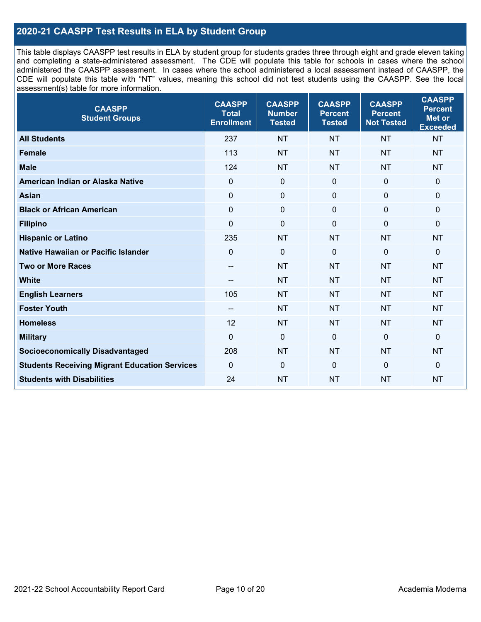## **2020-21 CAASPP Test Results in ELA by Student Group**

This table displays CAASPP test results in ELA by student group for students grades three through eight and grade eleven taking and completing a state-administered assessment. The CDE will populate this table for schools in cases where the school administered the CAASPP assessment. In cases where the school administered a local assessment instead of CAASPP, the CDE will populate this table with "NT" values, meaning this school did not test students using the CAASPP. See the local assessment(s) table for more information.

| <b>CAASPP</b><br><b>Student Groups</b>               | <b>CAASPP</b><br><b>Total</b><br><b>Enrollment</b> | <b>CAASPP</b><br><b>Number</b><br><b>Tested</b> | <b>CAASPP</b><br><b>Percent</b><br><b>Tested</b> | <b>CAASPP</b><br><b>Percent</b><br><b>Not Tested</b> | <b>CAASPP</b><br><b>Percent</b><br><b>Met or</b><br><b>Exceeded</b> |
|------------------------------------------------------|----------------------------------------------------|-------------------------------------------------|--------------------------------------------------|------------------------------------------------------|---------------------------------------------------------------------|
| <b>All Students</b>                                  | 237                                                | NT                                              | <b>NT</b>                                        | <b>NT</b>                                            | <b>NT</b>                                                           |
| <b>Female</b>                                        | 113                                                | <b>NT</b>                                       | <b>NT</b>                                        | <b>NT</b>                                            | <b>NT</b>                                                           |
| <b>Male</b>                                          | 124                                                | <b>NT</b>                                       | <b>NT</b>                                        | <b>NT</b>                                            | <b>NT</b>                                                           |
| American Indian or Alaska Native                     | $\mathbf 0$                                        | $\pmb{0}$                                       | 0                                                | $\mathbf 0$                                          | 0                                                                   |
| <b>Asian</b>                                         | $\mathbf 0$                                        | $\pmb{0}$                                       | $\mathbf 0$                                      | $\mathbf 0$                                          | 0                                                                   |
| <b>Black or African American</b>                     | $\mathbf 0$                                        | $\mathbf 0$                                     | $\Omega$                                         | $\Omega$                                             | 0                                                                   |
| <b>Filipino</b>                                      | $\mathbf 0$                                        | $\mathbf 0$                                     | $\mathbf 0$                                      | $\Omega$                                             | 0                                                                   |
| <b>Hispanic or Latino</b>                            | 235                                                | <b>NT</b>                                       | <b>NT</b>                                        | <b>NT</b>                                            | <b>NT</b>                                                           |
| <b>Native Hawaiian or Pacific Islander</b>           | $\Omega$                                           | $\mathbf 0$                                     | $\mathbf 0$                                      | $\mathbf 0$                                          | 0                                                                   |
| <b>Two or More Races</b>                             | $- -$                                              | <b>NT</b>                                       | <b>NT</b>                                        | <b>NT</b>                                            | <b>NT</b>                                                           |
| <b>White</b>                                         | --                                                 | <b>NT</b>                                       | <b>NT</b>                                        | <b>NT</b>                                            | <b>NT</b>                                                           |
| <b>English Learners</b>                              | 105                                                | <b>NT</b>                                       | <b>NT</b>                                        | <b>NT</b>                                            | <b>NT</b>                                                           |
| <b>Foster Youth</b>                                  | --                                                 | <b>NT</b>                                       | <b>NT</b>                                        | <b>NT</b>                                            | <b>NT</b>                                                           |
| <b>Homeless</b>                                      | 12                                                 | <b>NT</b>                                       | <b>NT</b>                                        | <b>NT</b>                                            | <b>NT</b>                                                           |
| <b>Military</b>                                      | $\overline{0}$                                     | $\mathbf 0$                                     | $\mathbf 0$                                      | $\mathbf 0$                                          | 0                                                                   |
| <b>Socioeconomically Disadvantaged</b>               | 208                                                | <b>NT</b>                                       | <b>NT</b>                                        | <b>NT</b>                                            | <b>NT</b>                                                           |
| <b>Students Receiving Migrant Education Services</b> | $\mathbf{0}$                                       | $\mathbf 0$                                     | $\mathbf 0$                                      | $\mathbf 0$                                          | 0                                                                   |
| <b>Students with Disabilities</b>                    | 24                                                 | <b>NT</b>                                       | <b>NT</b>                                        | <b>NT</b>                                            | <b>NT</b>                                                           |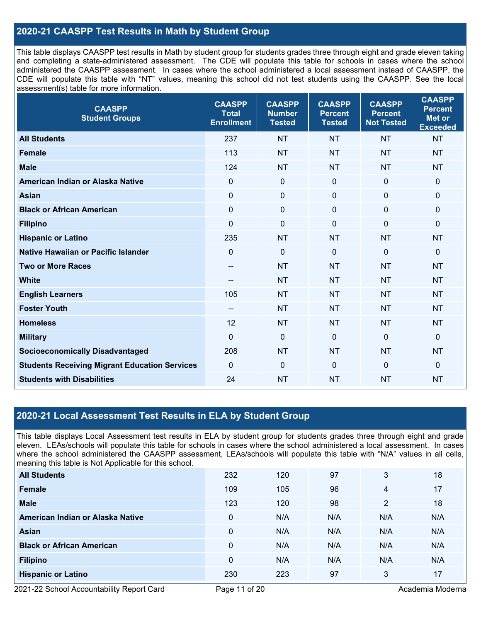## **2020-21 CAASPP Test Results in Math by Student Group**

This table displays CAASPP test results in Math by student group for students grades three through eight and grade eleven taking and completing a state-administered assessment. The CDE will populate this table for schools in cases where the school administered the CAASPP assessment. In cases where the school administered a local assessment instead of CAASPP, the CDE will populate this table with "NT" values, meaning this school did not test students using the CAASPP. See the local assessment(s) table for more information.

| <b>CAASPP</b><br><b>Student Groups</b>               | <b>CAASPP</b><br><b>Total</b><br><b>Enrollment</b> | <b>CAASPP</b><br><b>Number</b><br><b>Tested</b> | <b>CAASPP</b><br><b>Percent</b><br><b>Tested</b> | <b>CAASPP</b><br><b>Percent</b><br><b>Not Tested</b> | <b>CAASPP</b><br><b>Percent</b><br><b>Met or</b><br><b>Exceeded</b> |
|------------------------------------------------------|----------------------------------------------------|-------------------------------------------------|--------------------------------------------------|------------------------------------------------------|---------------------------------------------------------------------|
| <b>All Students</b>                                  | 237                                                | <b>NT</b>                                       | <b>NT</b>                                        | <b>NT</b>                                            | <b>NT</b>                                                           |
| <b>Female</b>                                        | 113                                                | <b>NT</b>                                       | <b>NT</b>                                        | <b>NT</b>                                            | <b>NT</b>                                                           |
| <b>Male</b>                                          | 124                                                | <b>NT</b>                                       | <b>NT</b>                                        | <b>NT</b>                                            | <b>NT</b>                                                           |
| American Indian or Alaska Native                     | $\mathbf 0$                                        | $\mathbf 0$                                     | $\mathbf 0$                                      | $\overline{0}$                                       | $\mathbf 0$                                                         |
| <b>Asian</b>                                         | $\mathbf 0$                                        | $\pmb{0}$                                       | $\mathbf 0$                                      | $\mathbf 0$                                          | $\pmb{0}$                                                           |
| <b>Black or African American</b>                     | $\mathbf 0$                                        | $\mathbf 0$                                     | $\Omega$                                         | $\mathbf 0$                                          | 0                                                                   |
| <b>Filipino</b>                                      | $\mathbf 0$                                        | $\mathbf 0$                                     | $\Omega$                                         | $\Omega$                                             | $\mathbf 0$                                                         |
| <b>Hispanic or Latino</b>                            | 235                                                | <b>NT</b>                                       | <b>NT</b>                                        | <b>NT</b>                                            | <b>NT</b>                                                           |
| <b>Native Hawaiian or Pacific Islander</b>           | $\mathbf 0$                                        | $\mathbf 0$                                     | $\mathbf 0$                                      | $\mathbf 0$                                          | $\Omega$                                                            |
| <b>Two or More Races</b>                             | $- -$                                              | <b>NT</b>                                       | <b>NT</b>                                        | <b>NT</b>                                            | <b>NT</b>                                                           |
| <b>White</b>                                         | $\hspace{0.05cm}$ – $\hspace{0.05cm}$              | <b>NT</b>                                       | <b>NT</b>                                        | <b>NT</b>                                            | <b>NT</b>                                                           |
| <b>English Learners</b>                              | 105                                                | <b>NT</b>                                       | <b>NT</b>                                        | <b>NT</b>                                            | <b>NT</b>                                                           |
| <b>Foster Youth</b>                                  | $- -$                                              | <b>NT</b>                                       | <b>NT</b>                                        | <b>NT</b>                                            | <b>NT</b>                                                           |
| <b>Homeless</b>                                      | 12                                                 | <b>NT</b>                                       | <b>NT</b>                                        | <b>NT</b>                                            | <b>NT</b>                                                           |
| <b>Military</b>                                      | $\overline{0}$                                     | $\mathbf 0$                                     | $\mathbf{0}$                                     | $\mathbf 0$                                          | $\mathbf 0$                                                         |
| <b>Socioeconomically Disadvantaged</b>               | 208                                                | <b>NT</b>                                       | <b>NT</b>                                        | <b>NT</b>                                            | <b>NT</b>                                                           |
| <b>Students Receiving Migrant Education Services</b> | $\mathbf 0$                                        | $\mathbf 0$                                     | $\mathbf{0}$                                     | $\mathbf 0$                                          | $\mathbf 0$                                                         |
| <b>Students with Disabilities</b>                    | 24                                                 | <b>NT</b>                                       | <b>NT</b>                                        | <b>NT</b>                                            | <b>NT</b>                                                           |

### **2020-21 Local Assessment Test Results in ELA by Student Group**

This table displays Local Assessment test results in ELA by student group for students grades three through eight and grade eleven. LEAs/schools will populate this table for schools in cases where the school administered a local assessment. In cases where the school administered the CAASPP assessment, LEAs/schools will populate this table with "N/A" values in all cells, meaning this table is Not Applicable for this school.

| <b>All Students</b>              | 232         | 120 | 97  | 3   | 18  |
|----------------------------------|-------------|-----|-----|-----|-----|
| Female                           | 109         | 105 | 96  | 4   | 17  |
| <b>Male</b>                      | 123         | 120 | 98  | 2   | 18  |
| American Indian or Alaska Native | 0           | N/A | N/A | N/A | N/A |
| Asian                            | $\mathbf 0$ | N/A | N/A | N/A | N/A |
| <b>Black or African American</b> | $\Omega$    | N/A | N/A | N/A | N/A |
| <b>Filipino</b>                  | $\mathbf 0$ | N/A | N/A | N/A | N/A |
| <b>Hispanic or Latino</b>        | 230         | 223 | 97  | 3   | 17  |

2021-22 School Accountability Report Card **Page 11 of 20** Academia Moderna Page 11 of 20 Academia Moderna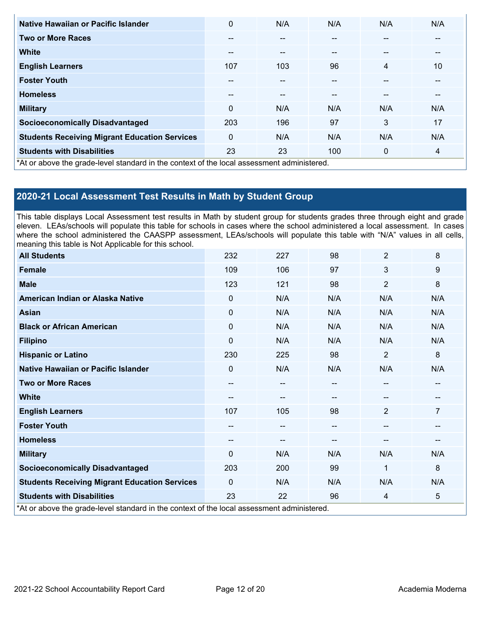| Native Hawaiian or Pacific Islander                                                        | 0             | N/A | N/A   | N/A         | N/A |
|--------------------------------------------------------------------------------------------|---------------|-----|-------|-------------|-----|
| <b>Two or More Races</b>                                                                   | --            |     |       |             |     |
| <b>White</b>                                                                               | $\sim$ $\sim$ | --  | $- -$ | --          | --  |
| <b>English Learners</b>                                                                    | 107           | 103 | 96    | 4           | 10  |
| <b>Foster Youth</b>                                                                        | $\sim$ $\sim$ | --  | $- -$ | --          | --  |
| <b>Homeless</b>                                                                            | --            | --  | --    | --          |     |
| <b>Military</b>                                                                            | $\mathbf{0}$  | N/A | N/A   | N/A         | N/A |
| <b>Socioeconomically Disadvantaged</b>                                                     | 203           | 196 | 97    | 3           | 17  |
| <b>Students Receiving Migrant Education Services</b>                                       | $\mathbf{0}$  | N/A | N/A   | N/A         | N/A |
| <b>Students with Disabilities</b>                                                          | 23            | 23  | 100   | $\mathbf 0$ | 4   |
| *At or above the grade-level standard in the context of the local assessment administered. |               |     |       |             |     |

## **2020-21 Local Assessment Test Results in Math by Student Group**

This table displays Local Assessment test results in Math by student group for students grades three through eight and grade eleven. LEAs/schools will populate this table for schools in cases where the school administered a local assessment. In cases where the school administered the CAASPP assessment, LEAs/schools will populate this table with "N/A" values in all cells, meaning this table is Not Applicable for this school.

| <b>All Students</b>                                                                        | 232      | 227                    | 98  | $\overline{2}$ | 8   |
|--------------------------------------------------------------------------------------------|----------|------------------------|-----|----------------|-----|
| Female                                                                                     | 109      | 106                    | 97  | 3              | 9   |
| <b>Male</b>                                                                                | 123      | 121                    | 98  | $\overline{2}$ | 8   |
| American Indian or Alaska Native                                                           | 0        | N/A                    | N/A | N/A            | N/A |
| <b>Asian</b>                                                                               | $\Omega$ | N/A                    | N/A | N/A            | N/A |
| <b>Black or African American</b>                                                           | 0        | N/A                    | N/A | N/A            | N/A |
| <b>Filipino</b>                                                                            | $\Omega$ | N/A                    | N/A | N/A            | N/A |
| <b>Hispanic or Latino</b>                                                                  | 230      | 225                    | 98  | $\overline{2}$ | 8   |
| Native Hawaiian or Pacific Islander                                                        | $\Omega$ | N/A                    | N/A | N/A            | N/A |
| <b>Two or More Races</b>                                                                   | --       | $\qquad \qquad \cdots$ | --  | --             |     |
| <b>White</b>                                                                               | --       | $\qquad \qquad \cdots$ |     | --             | --  |
| <b>English Learners</b>                                                                    | 107      | 105                    | 98  | $\overline{2}$ | 7   |
| <b>Foster Youth</b>                                                                        | --       | $\qquad \qquad \cdots$ |     | --             |     |
| <b>Homeless</b>                                                                            | --       | $\qquad \qquad \cdots$ |     | --             | --  |
| <b>Military</b>                                                                            | $\Omega$ | N/A                    | N/A | N/A            | N/A |
| <b>Socioeconomically Disadvantaged</b>                                                     | 203      | 200                    | 99  | 1              | 8   |
| <b>Students Receiving Migrant Education Services</b>                                       | $\Omega$ | N/A                    | N/A | N/A            | N/A |
| <b>Students with Disabilities</b>                                                          | 23       | 22                     | 96  | 4              | 5   |
| *At or above the grade-level standard in the context of the local assessment administered. |          |                        |     |                |     |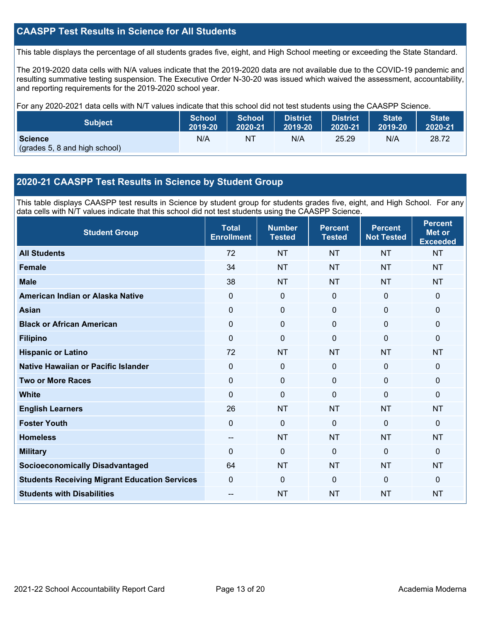## **CAASPP Test Results in Science for All Students**

This table displays the percentage of all students grades five, eight, and High School meeting or exceeding the State Standard.

The 2019-2020 data cells with N/A values indicate that the 2019-2020 data are not available due to the COVID-19 pandemic and resulting summative testing suspension. The Executive Order N-30-20 was issued which waived the assessment, accountability, and reporting requirements for the 2019-2020 school year.

For any 2020-2021 data cells with N/T values indicate that this school did not test students using the CAASPP Science.

| <b>Subject</b>                                  | <b>School</b> | <b>School</b> | <b>District</b> | District | <b>State</b> | <b>State</b> |
|-------------------------------------------------|---------------|---------------|-----------------|----------|--------------|--------------|
|                                                 | 2019-20       | 2020-21       | 2019-20         | 2020-21  | 2019-20      | 2020-21      |
| <b>Science</b><br>(grades 5, 8 and high school) | N/A           | ΝT            | N/A             | 25.29    | N/A          | 28.72        |

### **2020-21 CAASPP Test Results in Science by Student Group**

This table displays CAASPP test results in Science by student group for students grades five, eight, and High School. For any data cells with N/T values indicate that this school did not test students using the CAASPP Science.

| <b>Student Group</b>                                 | <b>Total</b><br><b>Enrollment</b> | <b>Number</b><br><b>Tested</b> | <b>Percent</b><br><b>Tested</b> | <b>Percent</b><br><b>Not Tested</b> | <b>Percent</b><br><b>Met or</b><br><b>Exceeded</b> |
|------------------------------------------------------|-----------------------------------|--------------------------------|---------------------------------|-------------------------------------|----------------------------------------------------|
| <b>All Students</b>                                  | 72                                | <b>NT</b>                      | <b>NT</b>                       | <b>NT</b>                           | <b>NT</b>                                          |
| <b>Female</b>                                        | 34                                | <b>NT</b>                      | <b>NT</b>                       | <b>NT</b>                           | <b>NT</b>                                          |
| <b>Male</b>                                          | 38                                | <b>NT</b>                      | <b>NT</b>                       | <b>NT</b>                           | <b>NT</b>                                          |
| American Indian or Alaska Native                     | $\mathbf 0$                       | $\mathbf 0$                    | $\mathbf 0$                     | $\mathbf 0$                         | $\mathbf 0$                                        |
| <b>Asian</b>                                         | $\mathbf 0$                       | $\mathbf 0$                    | $\mathbf 0$                     | $\mathbf 0$                         | $\mathbf 0$                                        |
| <b>Black or African American</b>                     | $\mathbf 0$                       | $\mathbf 0$                    | $\mathbf 0$                     | $\mathbf 0$                         | $\mathbf 0$                                        |
| <b>Filipino</b>                                      | $\mathbf 0$                       | $\mathbf{0}$                   | $\mathbf 0$                     | $\mathbf 0$                         | $\mathbf{0}$                                       |
| <b>Hispanic or Latino</b>                            | 72                                | <b>NT</b>                      | <b>NT</b>                       | <b>NT</b>                           | <b>NT</b>                                          |
| Native Hawaiian or Pacific Islander                  | $\mathbf 0$                       | $\mathbf 0$                    | $\mathbf 0$                     | $\overline{0}$                      | $\mathbf{0}$                                       |
| <b>Two or More Races</b>                             | $\mathbf 0$                       | $\mathbf 0$                    | $\mathbf 0$                     | $\Omega$                            | $\mathbf{0}$                                       |
| <b>White</b>                                         | $\Omega$                          | $\mathbf 0$                    | $\mathbf 0$                     | $\Omega$                            | $\mathbf{0}$                                       |
| <b>English Learners</b>                              | 26                                | <b>NT</b>                      | <b>NT</b>                       | <b>NT</b>                           | <b>NT</b>                                          |
| <b>Foster Youth</b>                                  | $\mathbf 0$                       | $\mathbf 0$                    | $\mathbf 0$                     | $\mathbf 0$                         | $\mathbf 0$                                        |
| <b>Homeless</b>                                      | $\overline{\phantom{a}}$          | <b>NT</b>                      | <b>NT</b>                       | <b>NT</b>                           | <b>NT</b>                                          |
| <b>Military</b>                                      | $\Omega$                          | $\mathbf 0$                    | $\mathbf 0$                     | $\Omega$                            | $\mathbf 0$                                        |
| <b>Socioeconomically Disadvantaged</b>               | 64                                | <b>NT</b>                      | <b>NT</b>                       | <b>NT</b>                           | <b>NT</b>                                          |
| <b>Students Receiving Migrant Education Services</b> | $\mathbf 0$                       | $\mathbf 0$                    | $\Omega$                        | $\mathbf 0$                         | $\mathbf{0}$                                       |
| <b>Students with Disabilities</b>                    | --                                | <b>NT</b>                      | <b>NT</b>                       | <b>NT</b>                           | <b>NT</b>                                          |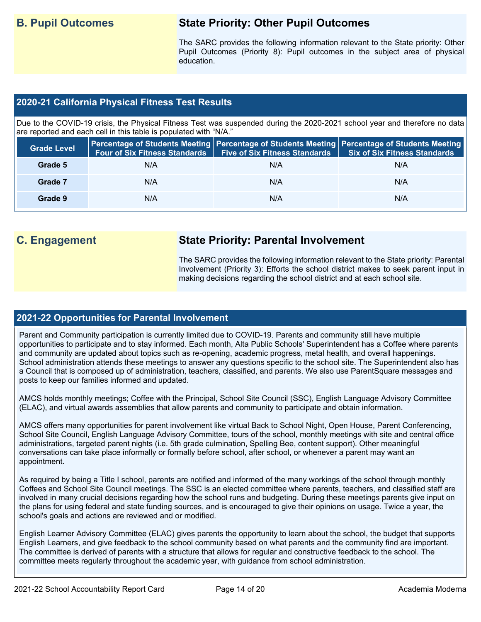## **B. Pupil Outcomes State Priority: Other Pupil Outcomes**

The SARC provides the following information relevant to the State priority: Other Pupil Outcomes (Priority 8): Pupil outcomes in the subject area of physical education.

### **2020-21 California Physical Fitness Test Results**

Due to the COVID-19 crisis, the Physical Fitness Test was suspended during the 2020-2021 school year and therefore no data are reported and each cell in this table is populated with "N/A."

| <b>Grade Level</b> | <b>Four of Six Fitness Standards</b> | <b>Five of Six Fitness Standards   Six of Six Fitness Standards</b> | Percentage of Students Meeting   Percentage of Students Meeting   Percentage of Students Meeting |
|--------------------|--------------------------------------|---------------------------------------------------------------------|--------------------------------------------------------------------------------------------------|
| Grade 5            | N/A                                  | N/A                                                                 | N/A                                                                                              |
| Grade 7            | N/A                                  | N/A                                                                 | N/A                                                                                              |
| Grade 9            | N/A                                  | N/A                                                                 | N/A                                                                                              |

# **C. Engagement State Priority: Parental Involvement**

The SARC provides the following information relevant to the State priority: Parental Involvement (Priority 3): Efforts the school district makes to seek parent input in making decisions regarding the school district and at each school site.

### **2021-22 Opportunities for Parental Involvement**

Parent and Community participation is currently limited due to COVID-19. Parents and community still have multiple opportunities to participate and to stay informed. Each month, Alta Public Schools' Superintendent has a Coffee where parents and community are updated about topics such as re-opening, academic progress, metal health, and overall happenings. School administration attends these meetings to answer any questions specific to the school site. The Superintendent also has a Council that is composed up of administration, teachers, classified, and parents. We also use ParentSquare messages and posts to keep our families informed and updated.

AMCS holds monthly meetings; Coffee with the Principal, School Site Council (SSC), English Language Advisory Committee (ELAC), and virtual awards assemblies that allow parents and community to participate and obtain information.

AMCS offers many opportunities for parent involvement like virtual Back to School Night, Open House, Parent Conferencing, School Site Council, English Language Advisory Committee, tours of the school, monthly meetings with site and central office administrations, targeted parent nights (i.e. 5th grade culmination, Spelling Bee, content support). Other meaningful conversations can take place informally or formally before school, after school, or whenever a parent may want an appointment.

As required by being a Title I school, parents are notified and informed of the many workings of the school through monthly Coffees and School Site Council meetings. The SSC is an elected committee where parents, teachers, and classified staff are involved in many crucial decisions regarding how the school runs and budgeting. During these meetings parents give input on the plans for using federal and state funding sources, and is encouraged to give their opinions on usage. Twice a year, the school's goals and actions are reviewed and or modified.

English Learner Advisory Committee (ELAC) gives parents the opportunity to learn about the school, the budget that supports English Learners, and give feedback to the school community based on what parents and the community find are important. The committee is derived of parents with a structure that allows for regular and constructive feedback to the school. The committee meets regularly throughout the academic year, with guidance from school administration.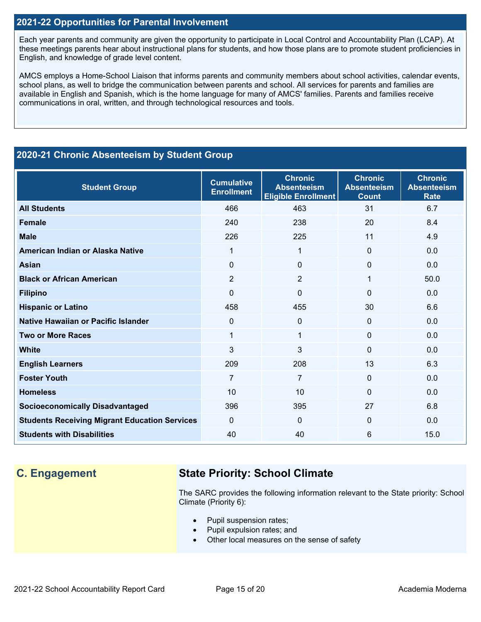### **2021-22 Opportunities for Parental Involvement**

Each year parents and community are given the opportunity to participate in Local Control and Accountability Plan (LCAP). At these meetings parents hear about instructional plans for students, and how those plans are to promote student proficiencies in English, and knowledge of grade level content.

AMCS employs a Home-School Liaison that informs parents and community members about school activities, calendar events, school plans, as well to bridge the communication between parents and school. All services for parents and families are available in English and Spanish, which is the home language for many of AMCS' families. Parents and families receive communications in oral, written, and through technological resources and tools.

### **2020-21 Chronic Absenteeism by Student Group**

| <b>Student Group</b>                                 | <b>Cumulative</b><br><b>Enrollment</b> | <b>Chronic</b><br><b>Absenteeism</b><br><b>Eligible Enrollment</b> | <b>Chronic</b><br><b>Absenteeism</b><br><b>Count</b> | <b>Chronic</b><br><b>Absenteeism</b><br><b>Rate</b> |
|------------------------------------------------------|----------------------------------------|--------------------------------------------------------------------|------------------------------------------------------|-----------------------------------------------------|
| <b>All Students</b>                                  | 466                                    | 463                                                                | 31                                                   | 6.7                                                 |
| <b>Female</b>                                        | 240                                    | 238                                                                | 20                                                   | 8.4                                                 |
| <b>Male</b>                                          | 226                                    | 225                                                                | 11                                                   | 4.9                                                 |
| American Indian or Alaska Native                     | 1                                      | 1                                                                  | $\Omega$                                             | 0.0                                                 |
| <b>Asian</b>                                         | $\Omega$                               | 0                                                                  | $\Omega$                                             | 0.0                                                 |
| <b>Black or African American</b>                     | $\overline{2}$                         | $\overline{2}$                                                     | 1                                                    | 50.0                                                |
| <b>Filipino</b>                                      | $\Omega$                               | 0                                                                  | $\Omega$                                             | 0.0                                                 |
| <b>Hispanic or Latino</b>                            | 458                                    | 455                                                                | 30                                                   | 6.6                                                 |
| Native Hawaiian or Pacific Islander                  | $\Omega$                               | 0                                                                  | 0                                                    | 0.0                                                 |
| <b>Two or More Races</b>                             | 1                                      | 1                                                                  | 0                                                    | 0.0                                                 |
| <b>White</b>                                         | 3                                      | 3                                                                  | 0                                                    | 0.0                                                 |
| <b>English Learners</b>                              | 209                                    | 208                                                                | 13                                                   | 6.3                                                 |
| <b>Foster Youth</b>                                  | $\overline{7}$                         | $\overline{7}$                                                     | $\Omega$                                             | 0.0                                                 |
| <b>Homeless</b>                                      | 10                                     | 10                                                                 | $\Omega$                                             | 0.0                                                 |
| <b>Socioeconomically Disadvantaged</b>               | 396                                    | 395                                                                | 27                                                   | 6.8                                                 |
| <b>Students Receiving Migrant Education Services</b> | $\Omega$                               | $\Omega$                                                           | $\Omega$                                             | 0.0                                                 |
| <b>Students with Disabilities</b>                    | 40                                     | 40                                                                 | 6                                                    | 15.0                                                |

## **C. Engagement State Priority: School Climate**

The SARC provides the following information relevant to the State priority: School Climate (Priority 6):

- Pupil suspension rates;
- Pupil expulsion rates; and
- Other local measures on the sense of safety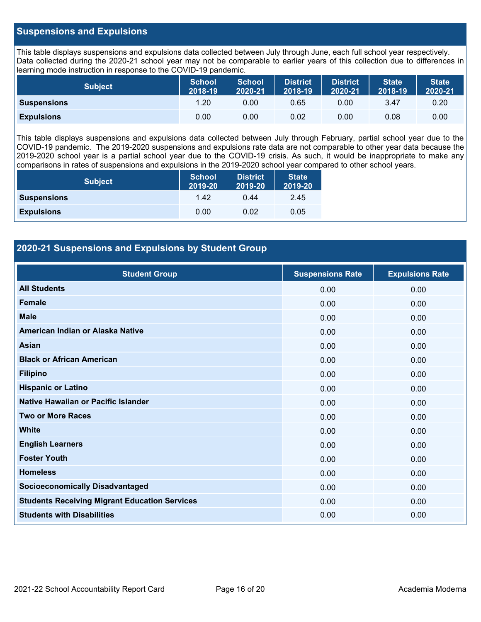### **Suspensions and Expulsions**

This table displays suspensions and expulsions data collected between July through June, each full school year respectively. Data collected during the 2020-21 school year may not be comparable to earlier years of this collection due to differences in learning mode instruction in response to the COVID-19 pandemic.

| Subject            | <b>School</b><br>2018-19 | <b>School</b><br>2020-21 | <b>District</b><br>2018-19 | <b>District</b><br>2020-21 | <b>State</b><br>2018-19 | <b>State</b><br>2020-21 |
|--------------------|--------------------------|--------------------------|----------------------------|----------------------------|-------------------------|-------------------------|
| <b>Suspensions</b> | . 20                     | 0.00                     | 0.65                       | 0.00                       | 3.47                    | 0.20                    |
| <b>Expulsions</b>  | 0.00                     | 0.00                     | 0.02                       | 0.00                       | 0.08                    | 0.00                    |

This table displays suspensions and expulsions data collected between July through February, partial school year due to the COVID-19 pandemic. The 2019-2020 suspensions and expulsions rate data are not comparable to other year data because the 2019-2020 school year is a partial school year due to the COVID-19 crisis. As such, it would be inappropriate to make any comparisons in rates of suspensions and expulsions in the 2019-2020 school year compared to other school years.

| <b>Subject</b>     | <b>School</b><br>2019-20 | <b>District</b><br>2019-20 | <b>State</b><br>2019-20 |
|--------------------|--------------------------|----------------------------|-------------------------|
| <b>Suspensions</b> | 1.42                     | 0.44                       | 2.45                    |
| <b>Expulsions</b>  | 0.00                     | 0.02                       | 0.05                    |

### **2020-21 Suspensions and Expulsions by Student Group**

| <b>Student Group</b>                                 | <b>Suspensions Rate</b> | <b>Expulsions Rate</b> |
|------------------------------------------------------|-------------------------|------------------------|
| <b>All Students</b>                                  | 0.00                    | 0.00                   |
| <b>Female</b>                                        | 0.00                    | 0.00                   |
| <b>Male</b>                                          | 0.00                    | 0.00                   |
| American Indian or Alaska Native                     | 0.00                    | 0.00                   |
| Asian                                                | 0.00                    | 0.00                   |
| <b>Black or African American</b>                     | 0.00                    | 0.00                   |
| <b>Filipino</b>                                      | 0.00                    | 0.00                   |
| <b>Hispanic or Latino</b>                            | 0.00                    | 0.00                   |
| Native Hawaiian or Pacific Islander                  | 0.00                    | 0.00                   |
| <b>Two or More Races</b>                             | 0.00                    | 0.00                   |
| <b>White</b>                                         | 0.00                    | 0.00                   |
| <b>English Learners</b>                              | 0.00                    | 0.00                   |
| <b>Foster Youth</b>                                  | 0.00                    | 0.00                   |
| <b>Homeless</b>                                      | 0.00                    | 0.00                   |
| <b>Socioeconomically Disadvantaged</b>               | 0.00                    | 0.00                   |
| <b>Students Receiving Migrant Education Services</b> | 0.00                    | 0.00                   |
| <b>Students with Disabilities</b>                    | 0.00                    | 0.00                   |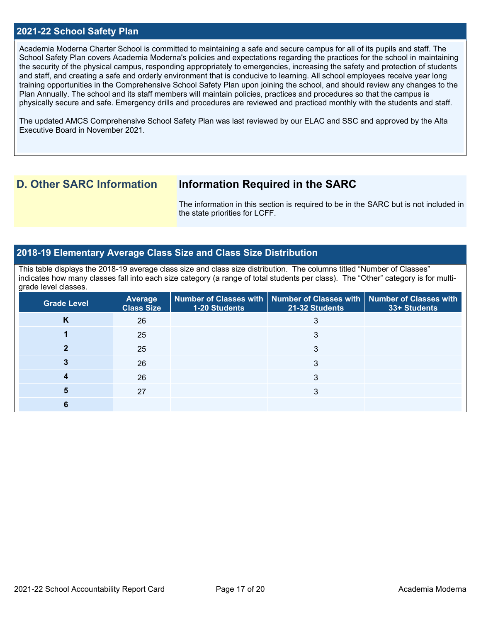### **2021-22 School Safety Plan**

Academia Moderna Charter School is committed to maintaining a safe and secure campus for all of its pupils and staff. The School Safety Plan covers Academia Moderna's policies and expectations regarding the practices for the school in maintaining the security of the physical campus, responding appropriately to emergencies, increasing the safety and protection of students and staff, and creating a safe and orderly environment that is conducive to learning. All school employees receive year long training opportunities in the Comprehensive School Safety Plan upon joining the school, and should review any changes to the Plan Annually. The school and its staff members will maintain policies, practices and procedures so that the campus is physically secure and safe. Emergency drills and procedures are reviewed and practiced monthly with the students and staff.

The updated AMCS Comprehensive School Safety Plan was last reviewed by our ELAC and SSC and approved by the Alta Executive Board in November 2021.

## **D. Other SARC Information Information Required in the SARC**

The information in this section is required to be in the SARC but is not included in the state priorities for LCFF.

### **2018-19 Elementary Average Class Size and Class Size Distribution**

This table displays the 2018-19 average class size and class size distribution. The columns titled "Number of Classes" indicates how many classes fall into each size category (a range of total students per class). The "Other" category is for multigrade level classes.

| <b>Grade Level</b> | <b>Average</b><br><b>Class Size</b> | $\mid$ Number of Classes with $\mid$ Number of Classes with $\mid$ Number of Classes with<br>1-20 Students | 21-32 Students | 33+ Students |
|--------------------|-------------------------------------|------------------------------------------------------------------------------------------------------------|----------------|--------------|
| n                  | 26                                  |                                                                                                            | د              |              |
|                    | 25                                  |                                                                                                            | 3              |              |
|                    | 25                                  |                                                                                                            |                |              |
|                    | 26                                  |                                                                                                            | 3              |              |
|                    | 26                                  |                                                                                                            |                |              |
|                    | 27                                  |                                                                                                            |                |              |
|                    |                                     |                                                                                                            |                |              |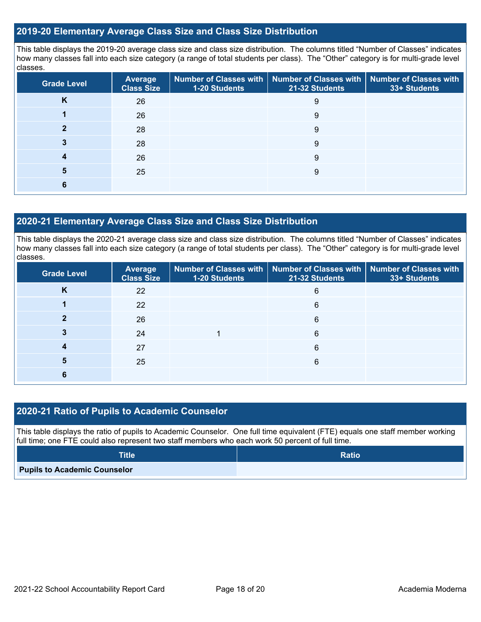### **2019-20 Elementary Average Class Size and Class Size Distribution**

This table displays the 2019-20 average class size and class size distribution. The columns titled "Number of Classes" indicates how many classes fall into each size category (a range of total students per class). The "Other" category is for multi-grade level classes.

| <b>Grade Level</b> | <b>Average</b><br><b>Class Size</b> | 1-20 Students | Number of Classes with   Number of Classes with   Number of Classes with<br>21-32 Students | 33+ Students |
|--------------------|-------------------------------------|---------------|--------------------------------------------------------------------------------------------|--------------|
| n.                 | 26                                  |               | 9                                                                                          |              |
|                    | 26                                  |               | 9                                                                                          |              |
|                    | 28                                  |               | 9                                                                                          |              |
|                    | 28                                  |               | 9                                                                                          |              |
|                    | 26                                  |               | 9                                                                                          |              |
| 5                  | 25                                  |               | 9                                                                                          |              |
|                    |                                     |               |                                                                                            |              |

### **2020-21 Elementary Average Class Size and Class Size Distribution**

This table displays the 2020-21 average class size and class size distribution. The columns titled "Number of Classes" indicates how many classes fall into each size category (a range of total students per class). The "Other" category is for multi-grade level classes.

| <b>Grade Level</b> | <b>Average</b><br><b>Class Size</b> | 1-20 Students | Number of Classes with   Number of Classes with   Number of Classes with<br>21-32 Students | 33+ Students |
|--------------------|-------------------------------------|---------------|--------------------------------------------------------------------------------------------|--------------|
| N                  | 22                                  |               | 6                                                                                          |              |
|                    | 22                                  |               | 6                                                                                          |              |
|                    | 26                                  |               | 6                                                                                          |              |
|                    | 24                                  |               | 6                                                                                          |              |
|                    | 27                                  |               | 6                                                                                          |              |
|                    | 25                                  |               | 6                                                                                          |              |
|                    |                                     |               |                                                                                            |              |

### **2020-21 Ratio of Pupils to Academic Counselor**

This table displays the ratio of pupils to Academic Counselor. One full time equivalent (FTE) equals one staff member working full time; one FTE could also represent two staff members who each work 50 percent of full time.

| <b>Title</b>                        | <b>Ratio</b> |
|-------------------------------------|--------------|
| <b>Pupils to Academic Counselor</b> |              |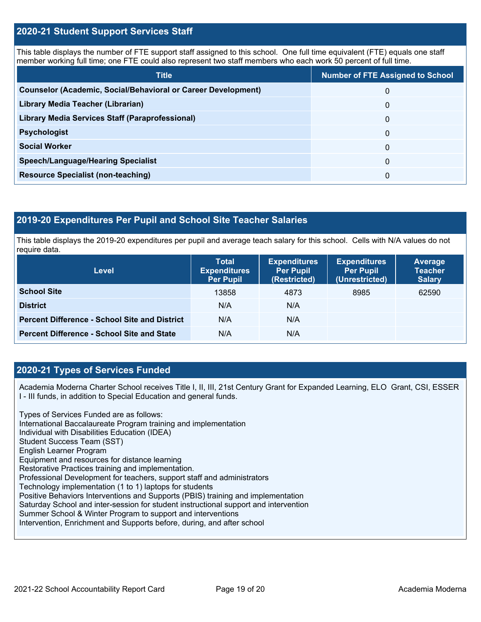### **2020-21 Student Support Services Staff**

This table displays the number of FTE support staff assigned to this school. One full time equivalent (FTE) equals one staff member working full time; one FTE could also represent two staff members who each work 50 percent of full time.

| <b>Title</b>                                                         | <b>Number of FTE Assigned to School</b> |
|----------------------------------------------------------------------|-----------------------------------------|
| <b>Counselor (Academic, Social/Behavioral or Career Development)</b> | 0                                       |
| Library Media Teacher (Librarian)                                    | 0                                       |
| <b>Library Media Services Staff (Paraprofessional)</b>               | 0                                       |
| <b>Psychologist</b>                                                  | 0                                       |
| <b>Social Worker</b>                                                 | $\Omega$                                |
| <b>Speech/Language/Hearing Specialist</b>                            | $\Omega$                                |
| <b>Resource Specialist (non-teaching)</b>                            | 0                                       |

### **2019-20 Expenditures Per Pupil and School Site Teacher Salaries**

This table displays the 2019-20 expenditures per pupil and average teach salary for this school. Cells with N/A values do not require data.

| <b>Level</b>                                         | <b>Total</b><br><b>Expenditures</b><br><b>Per Pupil</b> | <b>Expenditures</b><br><b>Per Pupil</b><br>(Restricted) | <b>Expenditures</b><br><b>Per Pupil</b><br>(Unrestricted) | <b>Average</b><br><b>Teacher</b><br><b>Salary</b> |
|------------------------------------------------------|---------------------------------------------------------|---------------------------------------------------------|-----------------------------------------------------------|---------------------------------------------------|
| <b>School Site</b>                                   | 13858                                                   | 4873                                                    | 8985                                                      | 62590                                             |
| <b>District</b>                                      | N/A                                                     | N/A                                                     |                                                           |                                                   |
| <b>Percent Difference - School Site and District</b> | N/A                                                     | N/A                                                     |                                                           |                                                   |
| <b>Percent Difference - School Site and State</b>    | N/A                                                     | N/A                                                     |                                                           |                                                   |

### **2020-21 Types of Services Funded**

Academia Moderna Charter School receives Title I, II, III, 21st Century Grant for Expanded Learning, ELO Grant, CSI, ESSER I - III funds, in addition to Special Education and general funds.

Types of Services Funded are as follows: International Baccalaureate Program training and implementation Individual with Disabilities Education (IDEA) Student Success Team (SST) English Learner Program Equipment and resources for distance learning Restorative Practices training and implementation. Professional Development for teachers, support staff and administrators Technology implementation (1 to 1) laptops for students Positive Behaviors Interventions and Supports (PBIS) training and implementation Saturday School and inter-session for student instructional support and intervention Summer School & Winter Program to support and interventions Intervention, Enrichment and Supports before, during, and after school